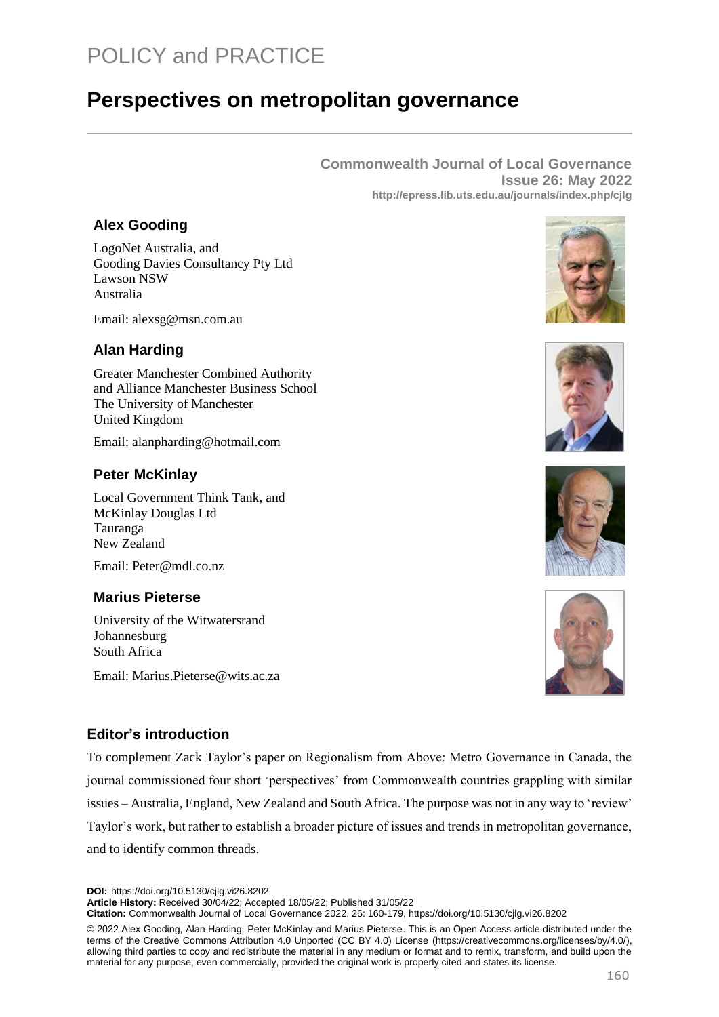# POLICY and PRACTICE

# **Perspectives on metropolitan governance**

**Commonwealth Journal of Local Governance Issue 26: May 2022 http://epress.lib.uts.edu.au/journals/index.php/cjlg**

### **Alex Gooding**

LogoNet Australia, and Gooding Davies Consultancy Pty Ltd Lawson NSW Australia

Email: alexsg@msn.com.au

### **Alan Harding**

Greater Manchester Combined Authority and Alliance Manchester Business School The University of Manchester United Kingdom

Email: alanpharding@hotmail.com

### **Peter McKinlay**

Local Government Think Tank, and McKinlay Douglas Ltd Tauranga New Zealand

Email: [Peter@mdl.co.nz](mailto:Peter@mdl.co.nz).

### **Marius Pieterse**

University of the Witwatersrand Johannesburg South Africa

Email: Marius.Pieterse@wits.ac.za









### **Editor's introduction**

To complement Zack Taylor's paper on Regionalism from Above: Metro Governance in Canada, the journal commissioned four short 'perspectives' from Commonwealth countries grappling with similar issues – Australia, England, New Zealand and South Africa. The purpose was not in any way to 'review' Taylor's work, but rather to establish a broader picture of issues and trends in metropolitan governance, and to identify common threads.

**DOI:** https://doi.org/10.5130/cjlg.vi26.8202

**Article History:** Received 30/04/22; Accepted 18/05/22; Published 31/05/22

**Citation:** Commonwealth Journal of Local Governance 2022, 26: 160-179, https://doi.org/10.5130/cjlg.vi26.8202

© 2022 Alex Gooding, Alan Harding, Peter McKinlay and Marius Pieterse. This is an Open Access article distributed under the terms of the Creative Commons Attribution 4.0 Unported (CC BY 4.0) License [\(https://creativecommons.org/licenses/by/4.0/\)](https://creativecommons.org/licenses/by/4.0/), allowing third parties to copy and redistribute the material in any medium or format and to remix, transform, and build upon the material for any purpose, even commercially, provided the original work is properly cited and states its license.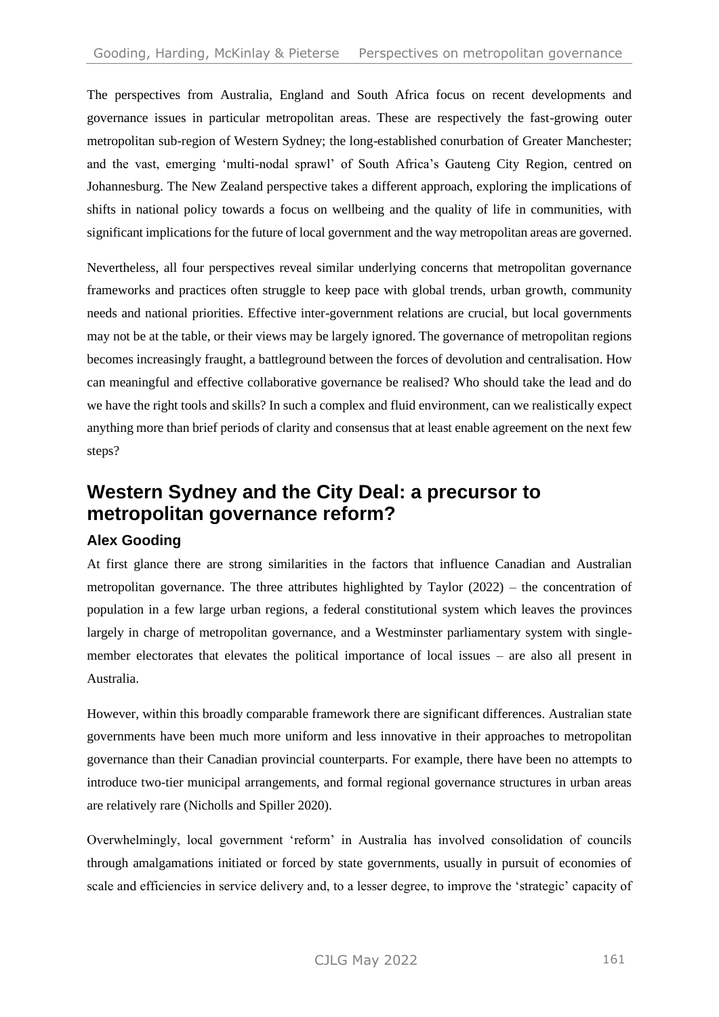The perspectives from Australia, England and South Africa focus on recent developments and governance issues in particular metropolitan areas. These are respectively the fast-growing outer metropolitan sub-region of Western Sydney; the long-established conurbation of Greater Manchester; and the vast, emerging 'multi-nodal sprawl' of South Africa's Gauteng City Region, centred on Johannesburg. The New Zealand perspective takes a different approach, exploring the implications of shifts in national policy towards a focus on wellbeing and the quality of life in communities, with significant implications for the future of local government and the way metropolitan areas are governed.

Nevertheless, all four perspectives reveal similar underlying concerns that metropolitan governance frameworks and practices often struggle to keep pace with global trends, urban growth, community needs and national priorities. Effective inter-government relations are crucial, but local governments may not be at the table, or their views may be largely ignored. The governance of metropolitan regions becomes increasingly fraught, a battleground between the forces of devolution and centralisation. How can meaningful and effective collaborative governance be realised? Who should take the lead and do we have the right tools and skills? In such a complex and fluid environment, can we realistically expect anything more than brief periods of clarity and consensus that at least enable agreement on the next few steps?

# **Western Sydney and the City Deal: a precursor to metropolitan governance reform?**

### **Alex Gooding**

At first glance there are strong similarities in the factors that influence Canadian and Australian metropolitan governance. The three attributes highlighted by Taylor (2022) – the concentration of population in a few large urban regions, a federal constitutional system which leaves the provinces largely in charge of metropolitan governance, and a Westminster parliamentary system with singlemember electorates that elevates the political importance of local issues – are also all present in Australia.

However, within this broadly comparable framework there are significant differences. Australian state governments have been much more uniform and less innovative in their approaches to metropolitan governance than their Canadian provincial counterparts. For example, there have been no attempts to introduce two-tier municipal arrangements, and formal regional governance structures in urban areas are relatively rare (Nicholls and Spiller 2020).

Overwhelmingly, local government 'reform' in Australia has involved consolidation of councils through amalgamations initiated or forced by state governments, usually in pursuit of economies of scale and efficiencies in service delivery and, to a lesser degree, to improve the 'strategic' capacity of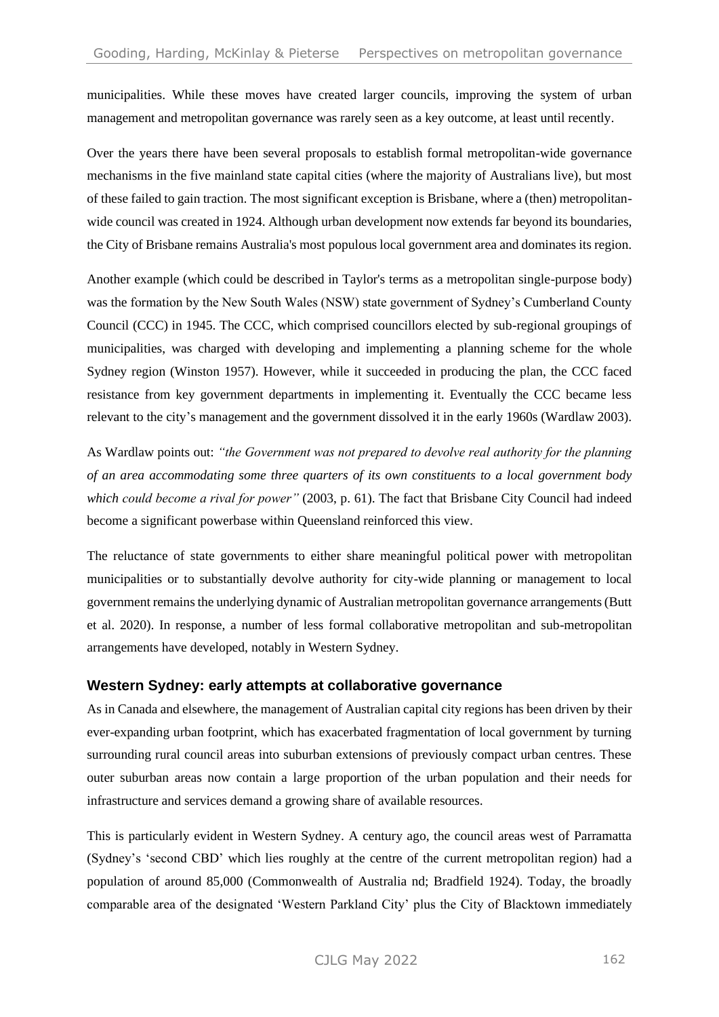municipalities. While these moves have created larger councils, improving the system of urban management and metropolitan governance was rarely seen as a key outcome, at least until recently.

Over the years there have been several proposals to establish formal metropolitan-wide governance mechanisms in the five mainland state capital cities (where the majority of Australians live), but most of these failed to gain traction. The most significant exception is Brisbane, where a (then) metropolitanwide council was created in 1924. Although urban development now extends far beyond its boundaries, the City of Brisbane remains Australia's most populous local government area and dominates its region.

Another example (which could be described in Taylor's terms as a metropolitan single-purpose body) was the formation by the New South Wales (NSW) state government of Sydney's Cumberland County Council (CCC) in 1945. The CCC, which comprised councillors elected by sub-regional groupings of municipalities, was charged with developing and implementing a planning scheme for the whole Sydney region (Winston 1957). However, while it succeeded in producing the plan, the CCC faced resistance from key government departments in implementing it. Eventually the CCC became less relevant to the city's management and the government dissolved it in the early 1960s (Wardlaw 2003).

As Wardlaw points out: *"the Government was not prepared to devolve real authority for the planning of an area accommodating some three quarters of its own constituents to a local government body which could become a rival for power"* (2003, p. 61). The fact that Brisbane City Council had indeed become a significant powerbase within Queensland reinforced this view.

The reluctance of state governments to either share meaningful political power with metropolitan municipalities or to substantially devolve authority for city-wide planning or management to local government remains the underlying dynamic of Australian metropolitan governance arrangements (Butt et al. 2020). In response, a number of less formal collaborative metropolitan and sub-metropolitan arrangements have developed, notably in Western Sydney.

### **Western Sydney: early attempts at collaborative governance**

As in Canada and elsewhere, the management of Australian capital city regions has been driven by their ever-expanding urban footprint, which has exacerbated fragmentation of local government by turning surrounding rural council areas into suburban extensions of previously compact urban centres. These outer suburban areas now contain a large proportion of the urban population and their needs for infrastructure and services demand a growing share of available resources.

This is particularly evident in Western Sydney. A century ago, the council areas west of Parramatta (Sydney's 'second CBD' which lies roughly at the centre of the current metropolitan region) had a population of around 85,000 (Commonwealth of Australia nd; Bradfield 1924). Today, the broadly comparable area of the designated 'Western Parkland City' plus the City of Blacktown immediately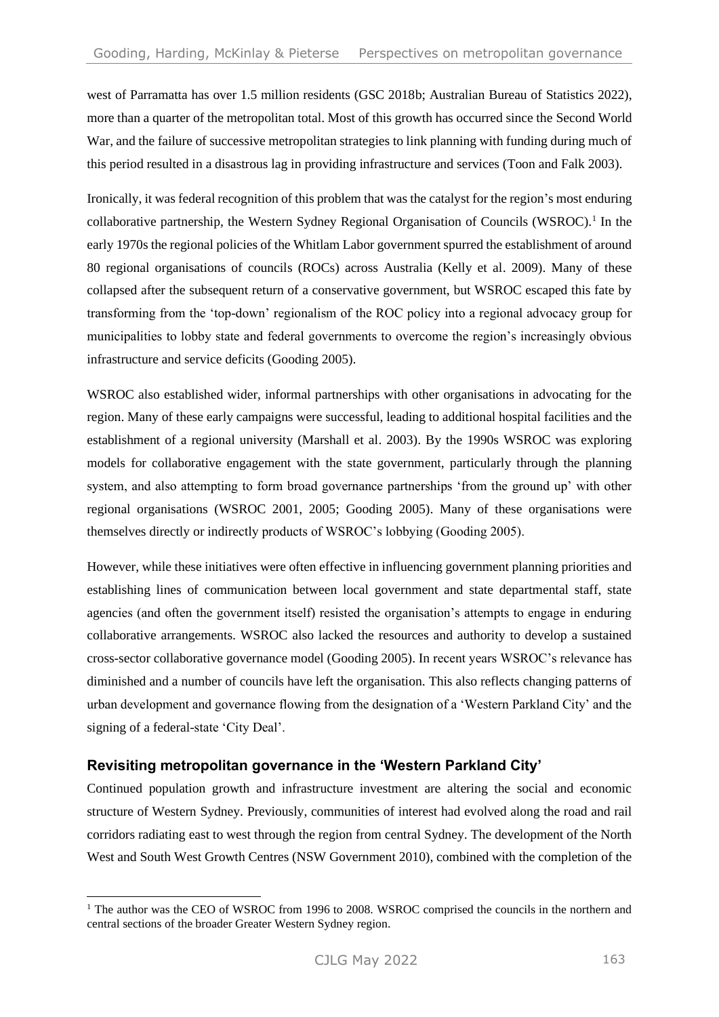west of Parramatta has over 1.5 million residents (GSC 2018b; Australian Bureau of Statistics 2022), more than a quarter of the metropolitan total. Most of this growth has occurred since the Second World War, and the failure of successive metropolitan strategies to link planning with funding during much of this period resulted in a disastrous lag in providing infrastructure and services (Toon and Falk 2003).

Ironically, it was federal recognition of this problem that was the catalyst for the region's most enduring collaborative partnership, the Western Sydney Regional Organisation of Councils (WSROC).<sup>1</sup> In the early 1970s the regional policies of the Whitlam Labor government spurred the establishment of around 80 regional organisations of councils (ROCs) across Australia (Kelly et al. 2009). Many of these collapsed after the subsequent return of a conservative government, but WSROC escaped this fate by transforming from the 'top-down' regionalism of the ROC policy into a regional advocacy group for municipalities to lobby state and federal governments to overcome the region's increasingly obvious infrastructure and service deficits (Gooding 2005).

WSROC also established wider, informal partnerships with other organisations in advocating for the region. Many of these early campaigns were successful, leading to additional hospital facilities and the establishment of a regional university (Marshall et al. 2003). By the 1990s WSROC was exploring models for collaborative engagement with the state government, particularly through the planning system, and also attempting to form broad governance partnerships 'from the ground up' with other regional organisations (WSROC 2001, 2005; Gooding 2005). Many of these organisations were themselves directly or indirectly products of WSROC's lobbying (Gooding 2005).

However, while these initiatives were often effective in influencing government planning priorities and establishing lines of communication between local government and state departmental staff, state agencies (and often the government itself) resisted the organisation's attempts to engage in enduring collaborative arrangements. WSROC also lacked the resources and authority to develop a sustained cross-sector collaborative governance model (Gooding 2005). In recent years WSROC's relevance has diminished and a number of councils have left the organisation. This also reflects changing patterns of urban development and governance flowing from the designation of a 'Western Parkland City' and the signing of a federal-state 'City Deal'.

### **Revisiting metropolitan governance in the 'Western Parkland City'**

Continued population growth and infrastructure investment are altering the social and economic structure of Western Sydney. Previously, communities of interest had evolved along the road and rail corridors radiating east to west through the region from central Sydney. The development of the North West and South West Growth Centres (NSW Government 2010), combined with the completion of the

<sup>&</sup>lt;sup>1</sup> The author was the CEO of WSROC from 1996 to 2008. WSROC comprised the councils in the northern and central sections of the broader Greater Western Sydney region.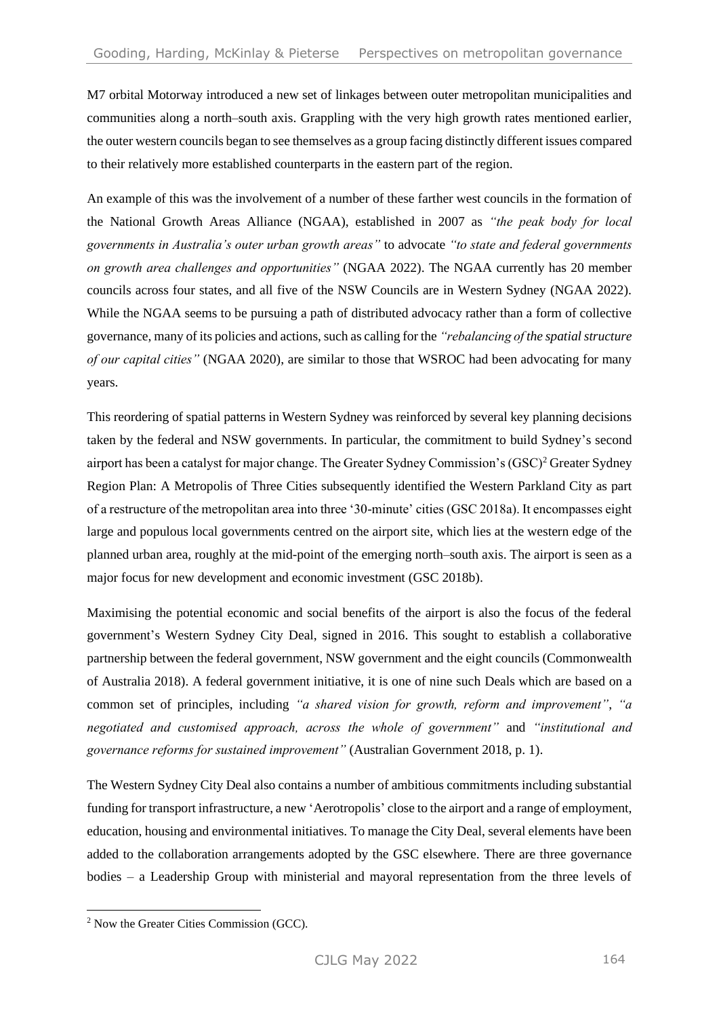M7 orbital Motorway introduced a new set of linkages between outer metropolitan municipalities and communities along a north–south axis. Grappling with the very high growth rates mentioned earlier, the outer western councils began to see themselves as a group facing distinctly different issues compared to their relatively more established counterparts in the eastern part of the region.

An example of this was the involvement of a number of these farther west councils in the formation of the National Growth Areas Alliance (NGAA), established in 2007 as *"the peak body for local governments in Australia's outer urban growth areas"* to advocate *"to state and federal governments on growth area challenges and opportunities"* (NGAA 2022). The NGAA currently has 20 member councils across four states, and all five of the NSW Councils are in Western Sydney (NGAA 2022). While the NGAA seems to be pursuing a path of distributed advocacy rather than a form of collective governance, many of its policies and actions, such as calling for the *"rebalancing of the spatial structure of our capital cities"* (NGAA 2020), are similar to those that WSROC had been advocating for many years.

This reordering of spatial patterns in Western Sydney was reinforced by several key planning decisions taken by the federal and NSW governments. In particular, the commitment to build Sydney's second airport has been a catalyst for major change. The Greater Sydney Commission's (GSC)<sup>2</sup> Greater Sydney Region Plan: A Metropolis of Three Cities subsequently identified the Western Parkland City as part of a restructure of the metropolitan area into three '30-minute' cities (GSC 2018a). It encompasses eight large and populous local governments centred on the airport site, which lies at the western edge of the planned urban area, roughly at the mid-point of the emerging north–south axis. The airport is seen as a major focus for new development and economic investment (GSC 2018b).

Maximising the potential economic and social benefits of the airport is also the focus of the federal government's Western Sydney City Deal, signed in 2016. This sought to establish a collaborative partnership between the federal government, NSW government and the eight councils (Commonwealth of Australia 2018). A federal government initiative, it is one of nine such Deals which are based on a common set of principles, including *"a shared vision for growth, reform and improvement"*, *"a negotiated and customised approach, across the whole of government"* and *"institutional and governance reforms for sustained improvement"* (Australian Government 2018, p. 1).

The Western Sydney City Deal also contains a number of ambitious commitments including substantial funding for transport infrastructure, a new 'Aerotropolis' close to the airport and a range of employment, education, housing and environmental initiatives. To manage the City Deal, several elements have been added to the collaboration arrangements adopted by the GSC elsewhere. There are three governance bodies – a Leadership Group with ministerial and mayoral representation from the three levels of

<sup>2</sup> Now the Greater Cities Commission (GCC).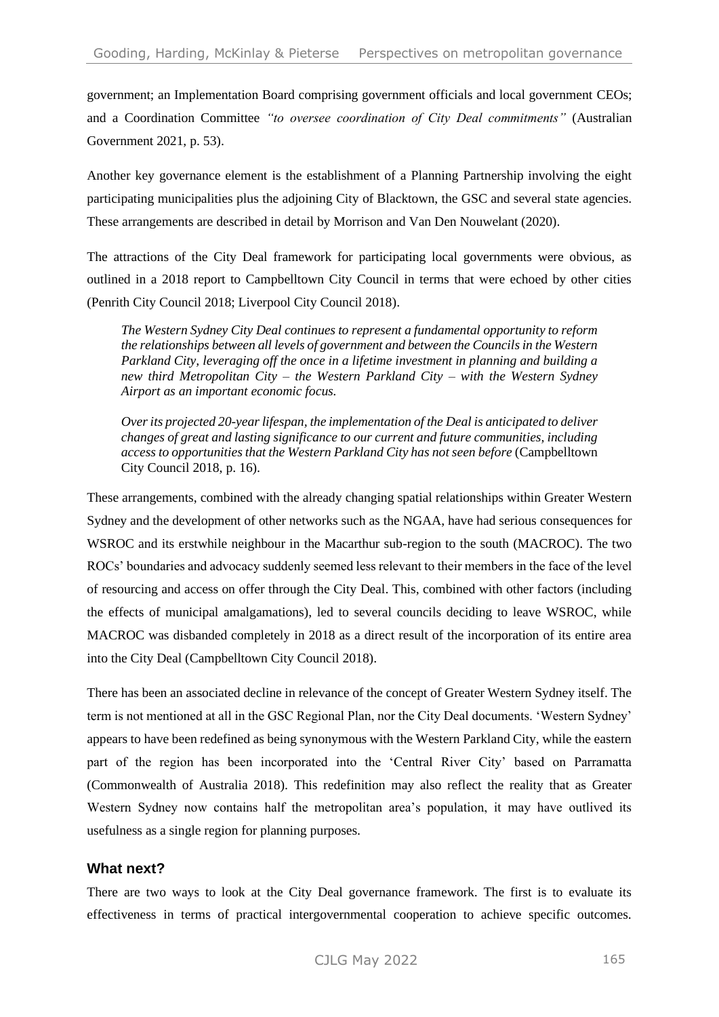government; an Implementation Board comprising government officials and local government CEOs; and a Coordination Committee *"to oversee coordination of City Deal commitments"* (Australian Government 2021, p. 53).

Another key governance element is the establishment of a Planning Partnership involving the eight participating municipalities plus the adjoining City of Blacktown, the GSC and several state agencies. These arrangements are described in detail by Morrison and Van Den Nouwelant (2020).

The attractions of the City Deal framework for participating local governments were obvious, as outlined in a 2018 report to Campbelltown City Council in terms that were echoed by other cities (Penrith City Council 2018; Liverpool City Council 2018).

*The Western Sydney City Deal continues to represent a fundamental opportunity to reform the relationships between all levels of government and between the Councils in the Western Parkland City, leveraging off the once in a lifetime investment in planning and building a new third Metropolitan City – the Western Parkland City – with the Western Sydney Airport as an important economic focus.*

*Over its projected 20-year lifespan, the implementation of the Deal is anticipated to deliver changes of great and lasting significance to our current and future communities, including access to opportunities that the Western Parkland City has not seen before* (Campbelltown City Council 2018, p. 16).

These arrangements, combined with the already changing spatial relationships within Greater Western Sydney and the development of other networks such as the NGAA, have had serious consequences for WSROC and its erstwhile neighbour in the Macarthur sub-region to the south (MACROC). The two ROCs' boundaries and advocacy suddenly seemed less relevant to their members in the face of the level of resourcing and access on offer through the City Deal. This, combined with other factors (including the effects of municipal amalgamations), led to several councils deciding to leave WSROC, while MACROC was disbanded completely in 2018 as a direct result of the incorporation of its entire area into the City Deal (Campbelltown City Council 2018).

There has been an associated decline in relevance of the concept of Greater Western Sydney itself. The term is not mentioned at all in the GSC Regional Plan, nor the City Deal documents. 'Western Sydney' appears to have been redefined as being synonymous with the Western Parkland City, while the eastern part of the region has been incorporated into the 'Central River City' based on Parramatta (Commonwealth of Australia 2018). This redefinition may also reflect the reality that as Greater Western Sydney now contains half the metropolitan area's population, it may have outlived its usefulness as a single region for planning purposes.

### **What next?**

There are two ways to look at the City Deal governance framework. The first is to evaluate its effectiveness in terms of practical intergovernmental cooperation to achieve specific outcomes.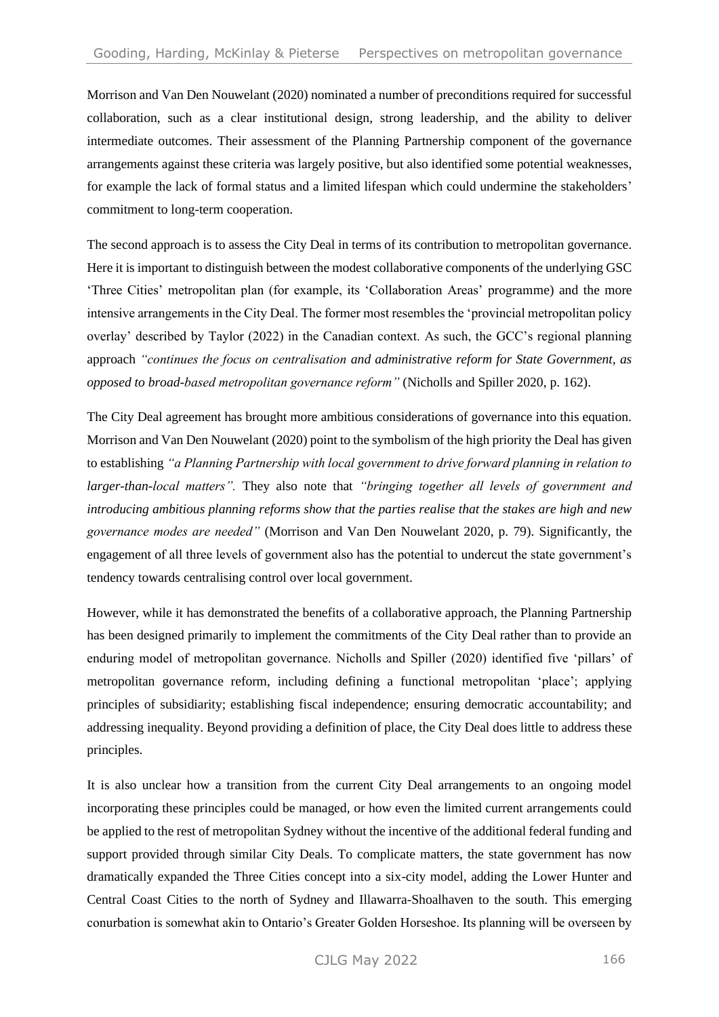Morrison and Van Den Nouwelant (2020) nominated a number of preconditions required for successful collaboration, such as a clear institutional design, strong leadership, and the ability to deliver intermediate outcomes. Their assessment of the Planning Partnership component of the governance arrangements against these criteria was largely positive, but also identified some potential weaknesses, for example the lack of formal status and a limited lifespan which could undermine the stakeholders' commitment to long-term cooperation.

The second approach is to assess the City Deal in terms of its contribution to metropolitan governance. Here it is important to distinguish between the modest collaborative components of the underlying GSC 'Three Cities' metropolitan plan (for example, its 'Collaboration Areas' programme) and the more intensive arrangements in the City Deal. The former most resembles the 'provincial metropolitan policy overlay' described by Taylor (2022) in the Canadian context. As such, the GCC's regional planning approach *"continues the focus on centralisation and administrative reform for State Government, as opposed to broad-based metropolitan governance reform"* (Nicholls and Spiller 2020, p. 162).

The City Deal agreement has brought more ambitious considerations of governance into this equation. Morrison and Van Den Nouwelant (2020) point to the symbolism of the high priority the Deal has given to establishing *"a Planning Partnership with local government to drive forward planning in relation to larger-than-local matters".* They also note that *"bringing together all levels of government and introducing ambitious planning reforms show that the parties realise that the stakes are high and new governance modes are needed"* (Morrison and Van Den Nouwelant 2020, p. 79). Significantly, the engagement of all three levels of government also has the potential to undercut the state government's tendency towards centralising control over local government.

However, while it has demonstrated the benefits of a collaborative approach, the Planning Partnership has been designed primarily to implement the commitments of the City Deal rather than to provide an enduring model of metropolitan governance. Nicholls and Spiller (2020) identified five 'pillars' of metropolitan governance reform, including defining a functional metropolitan 'place'; applying principles of subsidiarity; establishing fiscal independence; ensuring democratic accountability; and addressing inequality. Beyond providing a definition of place, the City Deal does little to address these principles.

It is also unclear how a transition from the current City Deal arrangements to an ongoing model incorporating these principles could be managed, or how even the limited current arrangements could be applied to the rest of metropolitan Sydney without the incentive of the additional federal funding and support provided through similar City Deals. To complicate matters, the state government has now dramatically expanded the Three Cities concept into a six-city model, adding the Lower Hunter and Central Coast Cities to the north of Sydney and Illawarra-Shoalhaven to the south. This emerging conurbation is somewhat akin to Ontario's Greater Golden Horseshoe. Its planning will be overseen by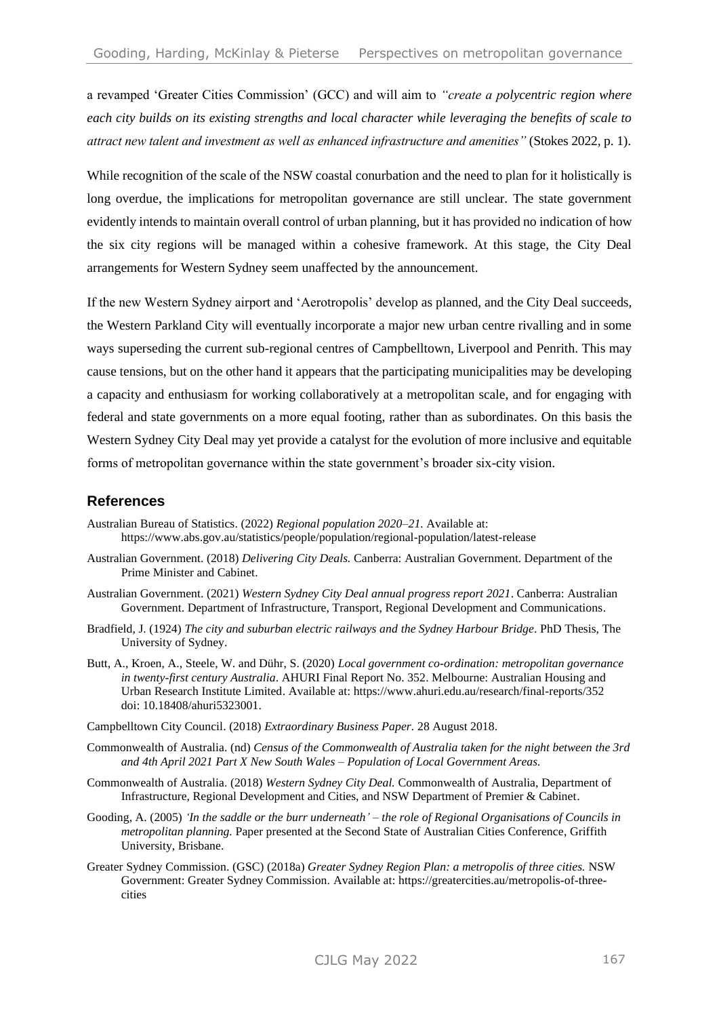a revamped 'Greater Cities Commission' (GCC) and will aim to *"create a polycentric region where each city builds on its existing strengths and local character while leveraging the benefits of scale to attract new talent and investment as well as enhanced infrastructure and amenities"* (Stokes 2022, p. 1).

While recognition of the scale of the NSW coastal conurbation and the need to plan for it holistically is long overdue, the implications for metropolitan governance are still unclear. The state government evidently intends to maintain overall control of urban planning, but it has provided no indication of how the six city regions will be managed within a cohesive framework. At this stage, the City Deal arrangements for Western Sydney seem unaffected by the announcement.

If the new Western Sydney airport and 'Aerotropolis' develop as planned, and the City Deal succeeds, the Western Parkland City will eventually incorporate a major new urban centre rivalling and in some ways superseding the current sub-regional centres of Campbelltown, Liverpool and Penrith. This may cause tensions, but on the other hand it appears that the participating municipalities may be developing a capacity and enthusiasm for working collaboratively at a metropolitan scale, and for engaging with federal and state governments on a more equal footing, rather than as subordinates. On this basis the Western Sydney City Deal may yet provide a catalyst for the evolution of more inclusive and equitable forms of metropolitan governance within the state government's broader six-city vision.

### **References**

- Australian Bureau of Statistics. (2022) *Regional population 2020–21.* Available at: https://www.abs.gov.au/statistics/people/population/regional-population/latest-release
- Australian Government. (2018) *Delivering City Deals.* Canberra: Australian Government. Department of the Prime Minister and Cabinet.
- Australian Government. (2021) *Western Sydney City Deal annual progress report 2021*. Canberra: Australian Government. Department of Infrastructure, Transport, Regional Development and Communications.
- Bradfield, J. (1924) *The city and suburban electric railways and the Sydney Harbour Bridge*. PhD Thesis, The University of Sydney.
- Butt, A., Kroen, A., Steele, W. and Dühr, S. (2020) *Local government co-ordination: metropolitan governance in twenty-first century Australia*. AHURI Final Report No. 352. Melbourne: Australian Housing and Urban Research Institute Limited. Available at:<https://www.ahuri.edu.au/research/final-reports/352> doi: 10.18408/ahuri5323001.
- Campbelltown City Council. (2018) *Extraordinary Business Paper.* 28 August 2018.
- Commonwealth of Australia. (nd) *Census of the Commonwealth of Australia taken for the night between the 3rd and 4th April 2021 Part X New South Wales – Population of Local Government Areas.*
- Commonwealth of Australia. (2018) *Western Sydney City Deal.* Commonwealth of Australia, Department of Infrastructure, Regional Development and Cities, and NSW Department of Premier & Cabinet.
- Gooding, A. (2005) *'In the saddle or the burr underneath' – the role of Regional Organisations of Councils in metropolitan planning.* Paper presented at the Second State of Australian Cities Conference, Griffith University, Brisbane.
- Greater Sydney Commission. (GSC) (2018a) *Greater Sydney Region Plan: a metropolis of three cities.* NSW Government: Greater Sydney Commission. Available at: https://greatercities.au/metropolis-of-threecities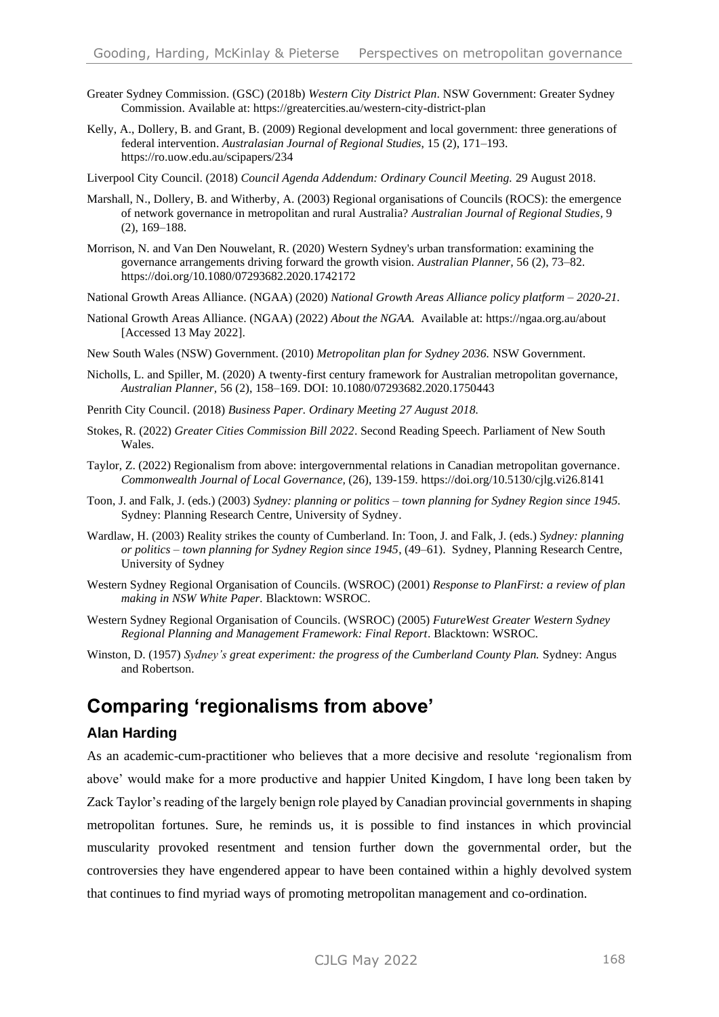- Greater Sydney Commission. (GSC) (2018b) *Western City District Plan*. NSW Government: Greater Sydney Commission. Available at: https://greatercities.au/western-city-district-plan
- Kelly, A., Dollery, B. and Grant, B. (2009) Regional development and local government: three generations of federal intervention. *Australasian Journal of Regional Studies*, 15 (2), 171–193. https://ro.uow.edu.au/scipapers/234
- Liverpool City Council. (2018) *Council Agenda Addendum: Ordinary Council Meeting.* 29 August 2018.
- Marshall, N., Dollery, B. and Witherby, A. (2003) Regional organisations of Councils (ROCS): the emergence of network governance in metropolitan and rural Australia? *Australian Journal of Regional Studies,* 9 (2), 169–188.
- Morrison, N. and Van Den Nouwelant, R. (2020) Western Sydney's urban transformation: examining the governance arrangements driving forward the growth vision. *Australian Planner,* 56 (2), 73–82. https://doi.org/10.1080/07293682.2020.1742172
- National Growth Areas Alliance. (NGAA) (2020) *National Growth Areas Alliance policy platform – 2020-21.*
- National Growth Areas Alliance. (NGAA) (2022) *About the NGAA.* Available at: https://ngaa.org.au/about [Accessed 13 May 2022].
- New South Wales (NSW) Government. (2010) *Metropolitan plan for Sydney 2036.* NSW Government.
- Nicholls, L. and Spiller, M. (2020) A twenty-first century framework for Australian metropolitan governance, *Australian Planner,* 56 (2), 158–169. DOI: 10.1080/07293682.2020.1750443
- Penrith City Council. (2018) *Business Paper. Ordinary Meeting 27 August 2018.*
- Stokes, R. (2022) *Greater Cities Commission Bill 2022*. Second Reading Speech. Parliament of New South Wales.
- Taylor, Z. (2022) Regionalism from above: intergovernmental relations in Canadian metropolitan governance. *Commonwealth Journal of Local Governance,* (26), 139-159. https://doi.org/10.5130/cjlg.vi26.8141
- Toon, J. and Falk, J. (eds.) (2003) *Sydney: planning or politics – town planning for Sydney Region since 1945.* Sydney: Planning Research Centre, University of Sydney.
- Wardlaw, H. (2003) Reality strikes the county of Cumberland. In: Toon, J. and Falk, J. (eds.) *Sydney: planning or politics – town planning for Sydney Region since 1945*, (49–61). Sydney, Planning Research Centre, University of Sydney
- Western Sydney Regional Organisation of Councils. (WSROC) (2001) *Response to PlanFirst: a review of plan making in NSW White Paper.* Blacktown: WSROC.
- Western Sydney Regional Organisation of Councils. (WSROC) (2005) *FutureWest Greater Western Sydney Regional Planning and Management Framework: Final Report*. Blacktown: WSROC.
- Winston, D. (1957) *Sydney's great experiment: the progress of the Cumberland County Plan.* Sydney: Angus and Robertson.

### **Comparing 'regionalisms from above'**

#### **Alan Harding**

As an academic-cum-practitioner who believes that a more decisive and resolute 'regionalism from above' would make for a more productive and happier United Kingdom, I have long been taken by Zack Taylor's reading of the largely benign role played by Canadian provincial governments in shaping metropolitan fortunes. Sure, he reminds us, it is possible to find instances in which provincial muscularity provoked resentment and tension further down the governmental order, but the controversies they have engendered appear to have been contained within a highly devolved system that continues to find myriad ways of promoting metropolitan management and co-ordination.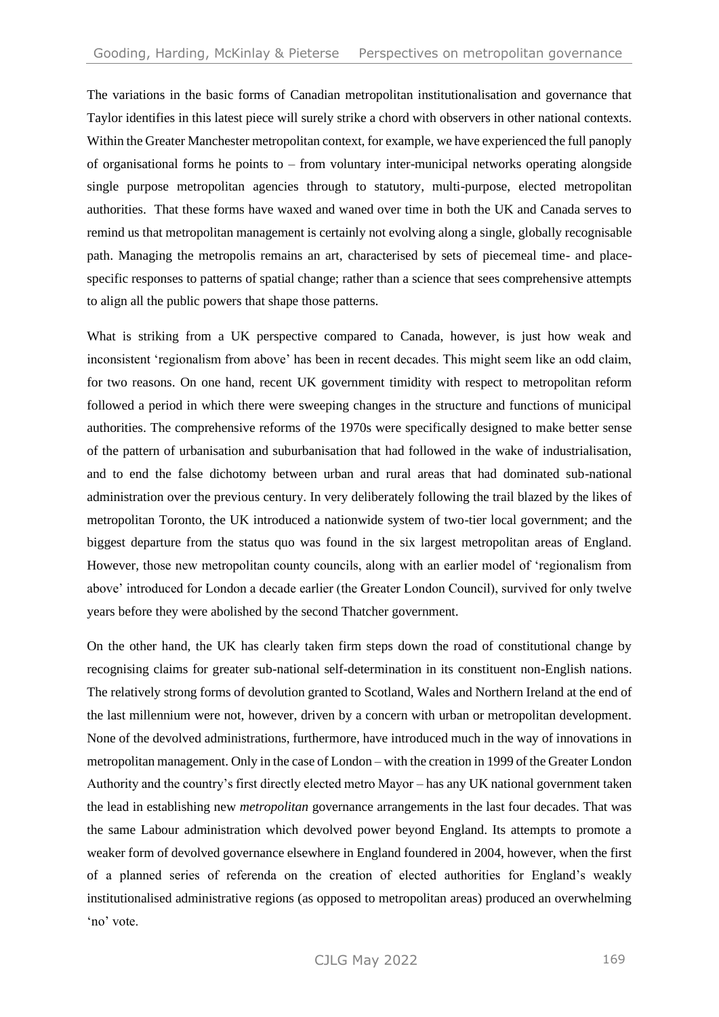The variations in the basic forms of Canadian metropolitan institutionalisation and governance that Taylor identifies in this latest piece will surely strike a chord with observers in other national contexts. Within the Greater Manchester metropolitan context, for example, we have experienced the full panoply of organisational forms he points to  $-$  from voluntary inter-municipal networks operating alongside single purpose metropolitan agencies through to statutory, multi-purpose, elected metropolitan authorities. That these forms have waxed and waned over time in both the UK and Canada serves to remind us that metropolitan management is certainly not evolving along a single, globally recognisable path. Managing the metropolis remains an art, characterised by sets of piecemeal time- and placespecific responses to patterns of spatial change; rather than a science that sees comprehensive attempts to align all the public powers that shape those patterns.

What is striking from a UK perspective compared to Canada, however, is just how weak and inconsistent 'regionalism from above' has been in recent decades. This might seem like an odd claim, for two reasons. On one hand, recent UK government timidity with respect to metropolitan reform followed a period in which there were sweeping changes in the structure and functions of municipal authorities. The comprehensive reforms of the 1970s were specifically designed to make better sense of the pattern of urbanisation and suburbanisation that had followed in the wake of industrialisation, and to end the false dichotomy between urban and rural areas that had dominated sub-national administration over the previous century. In very deliberately following the trail blazed by the likes of metropolitan Toronto, the UK introduced a nationwide system of two-tier local government; and the biggest departure from the status quo was found in the six largest metropolitan areas of England. However, those new metropolitan county councils, along with an earlier model of 'regionalism from above' introduced for London a decade earlier (the Greater London Council), survived for only twelve years before they were abolished by the second Thatcher government.

On the other hand, the UK has clearly taken firm steps down the road of constitutional change by recognising claims for greater sub-national self-determination in its constituent non-English nations. The relatively strong forms of devolution granted to Scotland, Wales and Northern Ireland at the end of the last millennium were not, however, driven by a concern with urban or metropolitan development. None of the devolved administrations, furthermore, have introduced much in the way of innovations in metropolitan management. Only in the case of London – with the creation in 1999 of the Greater London Authority and the country's first directly elected metro Mayor – has any UK national government taken the lead in establishing new *metropolitan* governance arrangements in the last four decades. That was the same Labour administration which devolved power beyond England. Its attempts to promote a weaker form of devolved governance elsewhere in England foundered in 2004, however, when the first of a planned series of referenda on the creation of elected authorities for England's weakly institutionalised administrative regions (as opposed to metropolitan areas) produced an overwhelming 'no' vote.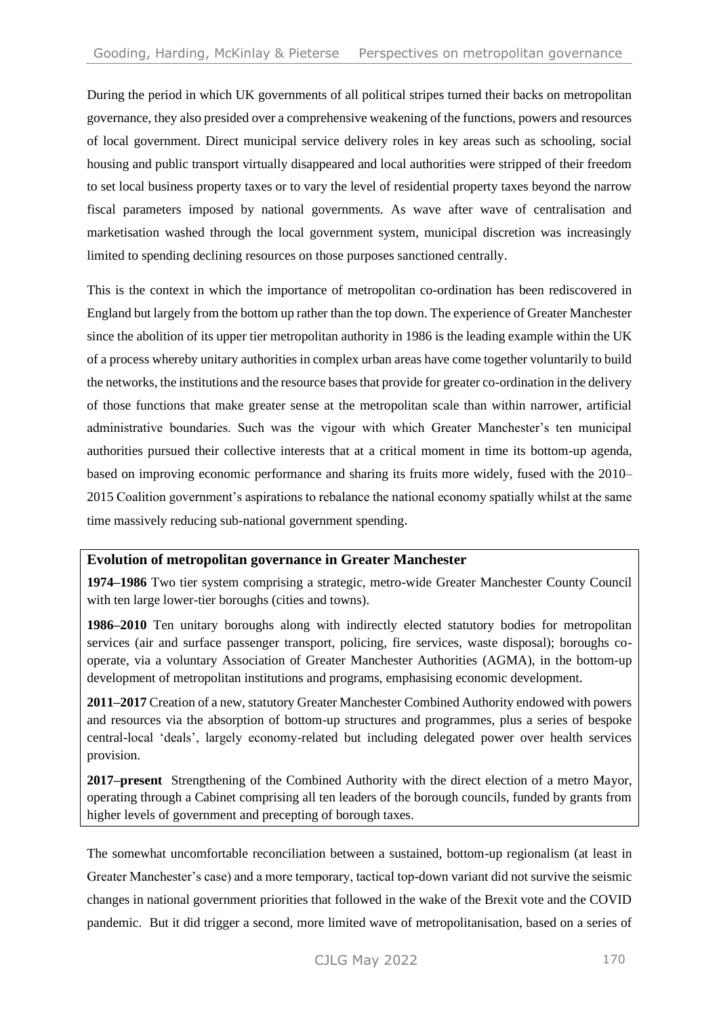During the period in which UK governments of all political stripes turned their backs on metropolitan governance, they also presided over a comprehensive weakening of the functions, powers and resources of local government. Direct municipal service delivery roles in key areas such as schooling, social housing and public transport virtually disappeared and local authorities were stripped of their freedom to set local business property taxes or to vary the level of residential property taxes beyond the narrow fiscal parameters imposed by national governments. As wave after wave of centralisation and marketisation washed through the local government system, municipal discretion was increasingly limited to spending declining resources on those purposes sanctioned centrally.

This is the context in which the importance of metropolitan co-ordination has been rediscovered in England but largely from the bottom up rather than the top down. The experience of Greater Manchester since the abolition of its upper tier metropolitan authority in 1986 is the leading example within the UK of a process whereby unitary authorities in complex urban areas have come together voluntarily to build the networks, the institutions and the resource bases that provide for greater co-ordination in the delivery of those functions that make greater sense at the metropolitan scale than within narrower, artificial administrative boundaries. Such was the vigour with which Greater Manchester's ten municipal authorities pursued their collective interests that at a critical moment in time its bottom-up agenda, based on improving economic performance and sharing its fruits more widely, fused with the 2010– 2015 Coalition government's aspirations to rebalance the national economy spatially whilst at the same time massively reducing sub-national government spending.

### **Evolution of metropolitan governance in Greater Manchester**

**1974–1986** Two tier system comprising a strategic, metro-wide Greater Manchester County Council with ten large lower-tier boroughs (cities and towns).

**1986–2010** Ten unitary boroughs along with indirectly elected statutory bodies for metropolitan services (air and surface passenger transport, policing, fire services, waste disposal); boroughs cooperate, via a voluntary Association of Greater Manchester Authorities (AGMA), in the bottom-up development of metropolitan institutions and programs, emphasising economic development.

**2011–2017** Creation of a new, statutory Greater Manchester Combined Authority endowed with powers and resources via the absorption of bottom-up structures and programmes, plus a series of bespoke central-local 'deals', largely economy-related but including delegated power over health services provision.

**2017–present** Strengthening of the Combined Authority with the direct election of a metro Mayor, operating through a Cabinet comprising all ten leaders of the borough councils, funded by grants from higher levels of government and precepting of borough taxes.

The somewhat uncomfortable reconciliation between a sustained, bottom-up regionalism (at least in Greater Manchester's case) and a more temporary, tactical top-down variant did not survive the seismic changes in national government priorities that followed in the wake of the Brexit vote and the COVID pandemic. But it did trigger a second, more limited wave of metropolitanisation, based on a series of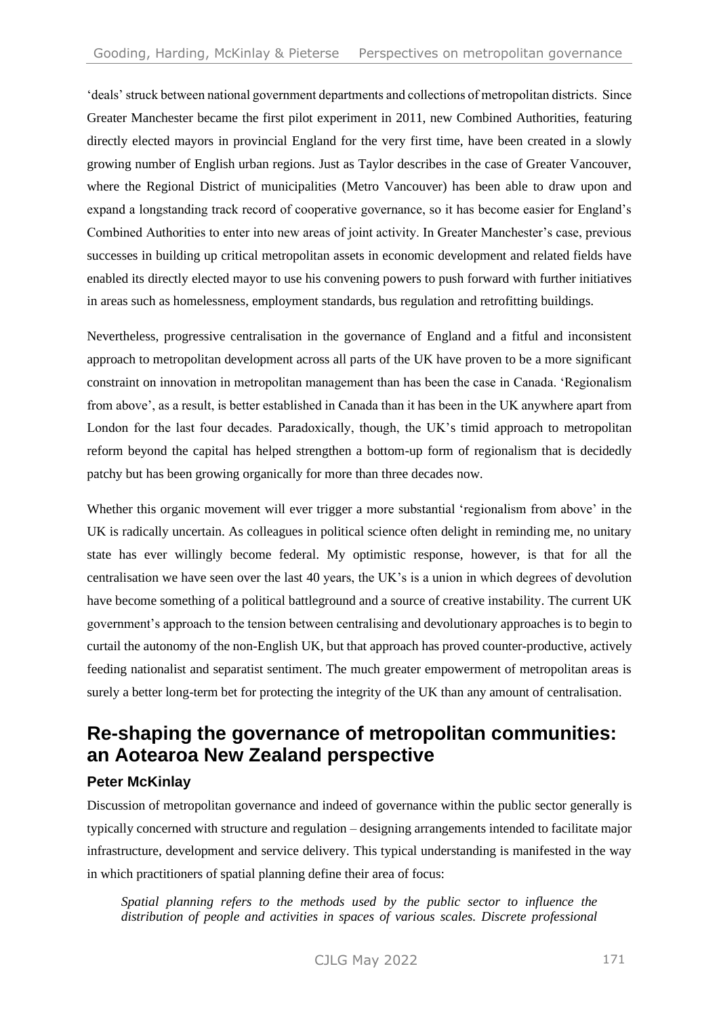'deals' struck between national government departments and collections of metropolitan districts. Since Greater Manchester became the first pilot experiment in 2011, new Combined Authorities, featuring directly elected mayors in provincial England for the very first time, have been created in a slowly growing number of English urban regions. Just as Taylor describes in the case of Greater Vancouver, where the Regional District of municipalities (Metro Vancouver) has been able to draw upon and expand a longstanding track record of cooperative governance, so it has become easier for England's Combined Authorities to enter into new areas of joint activity. In Greater Manchester's case, previous successes in building up critical metropolitan assets in economic development and related fields have enabled its directly elected mayor to use his convening powers to push forward with further initiatives in areas such as homelessness, employment standards, bus regulation and retrofitting buildings.

Nevertheless, progressive centralisation in the governance of England and a fitful and inconsistent approach to metropolitan development across all parts of the UK have proven to be a more significant constraint on innovation in metropolitan management than has been the case in Canada. 'Regionalism from above', as a result, is better established in Canada than it has been in the UK anywhere apart from London for the last four decades. Paradoxically, though, the UK's timid approach to metropolitan reform beyond the capital has helped strengthen a bottom-up form of regionalism that is decidedly patchy but has been growing organically for more than three decades now.

Whether this organic movement will ever trigger a more substantial 'regionalism from above' in the UK is radically uncertain. As colleagues in political science often delight in reminding me, no unitary state has ever willingly become federal. My optimistic response, however, is that for all the centralisation we have seen over the last 40 years, the UK's is a union in which degrees of devolution have become something of a political battleground and a source of creative instability. The current UK government's approach to the tension between centralising and devolutionary approaches is to begin to curtail the autonomy of the non-English UK, but that approach has proved counter-productive, actively feeding nationalist and separatist sentiment. The much greater empowerment of metropolitan areas is surely a better long-term bet for protecting the integrity of the UK than any amount of centralisation.

## **Re-shaping the governance of metropolitan communities: an Aotearoa New Zealand perspective**

### **Peter McKinlay**

Discussion of metropolitan governance and indeed of governance within the public sector generally is typically concerned with structure and regulation – designing arrangements intended to facilitate major infrastructure, development and service delivery. This typical understanding is manifested in the way in which practitioners of spatial planning define their area of focus:

*Spatial planning refers to the methods used by the public sector to influence the distribution of people and activities in spaces of various scales. Discrete professional*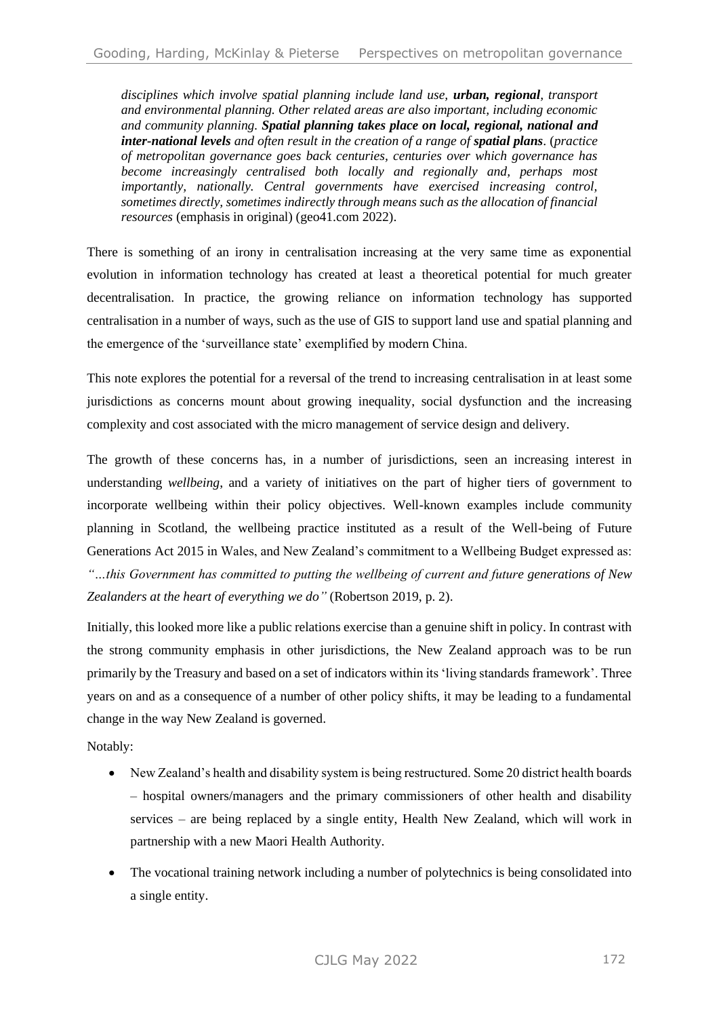*disciplines which involve spatial planning include land use, urban, regional, transport and environmental planning. Other related areas are also important, including economic and community planning. Spatial planning takes place on local, regional, national and inter-national levels and often result in the creation of a range of spatial plans*. (*practice of metropolitan governance goes back centuries, centuries over which governance has become increasingly centralised both locally and regionally and, perhaps most importantly, nationally. Central governments have exercised increasing control, sometimes directly, sometimes indirectly through means such as the allocation of financial resources* (emphasis in original) (geo41.com 2022).

There is something of an irony in centralisation increasing at the very same time as exponential evolution in information technology has created at least a theoretical potential for much greater decentralisation. In practice, the growing reliance on information technology has supported centralisation in a number of ways, such as the use of GIS to support land use and spatial planning and the emergence of the 'surveillance state' exemplified by modern China.

This note explores the potential for a reversal of the trend to increasing centralisation in at least some jurisdictions as concerns mount about growing inequality, social dysfunction and the increasing complexity and cost associated with the micro management of service design and delivery.

The growth of these concerns has, in a number of jurisdictions, seen an increasing interest in understanding *wellbeing*, and a variety of initiatives on the part of higher tiers of government to incorporate wellbeing within their policy objectives. Well-known examples include community planning in Scotland, the wellbeing practice instituted as a result of the Well-being of Future Generations Act 2015 in Wales, and New Zealand's commitment to a Wellbeing Budget expressed as: *"…this Government has committed to putting the wellbeing of current and future generations of New Zealanders at the heart of everything we do"* (Robertson 2019, p. 2).

Initially, this looked more like a public relations exercise than a genuine shift in policy. In contrast with the strong community emphasis in other jurisdictions, the New Zealand approach was to be run primarily by the Treasury and based on a set of indicators within its 'living standards framework'. Three years on and as a consequence of a number of other policy shifts, it may be leading to a fundamental change in the way New Zealand is governed.

Notably:

- New Zealand's health and disability system is being restructured. Some 20 district health boards – hospital owners/managers and the primary commissioners of other health and disability services – are being replaced by a single entity, Health New Zealand, which will work in partnership with a new Maori Health Authority.
- The vocational training network including a number of polytechnics is being consolidated into a single entity.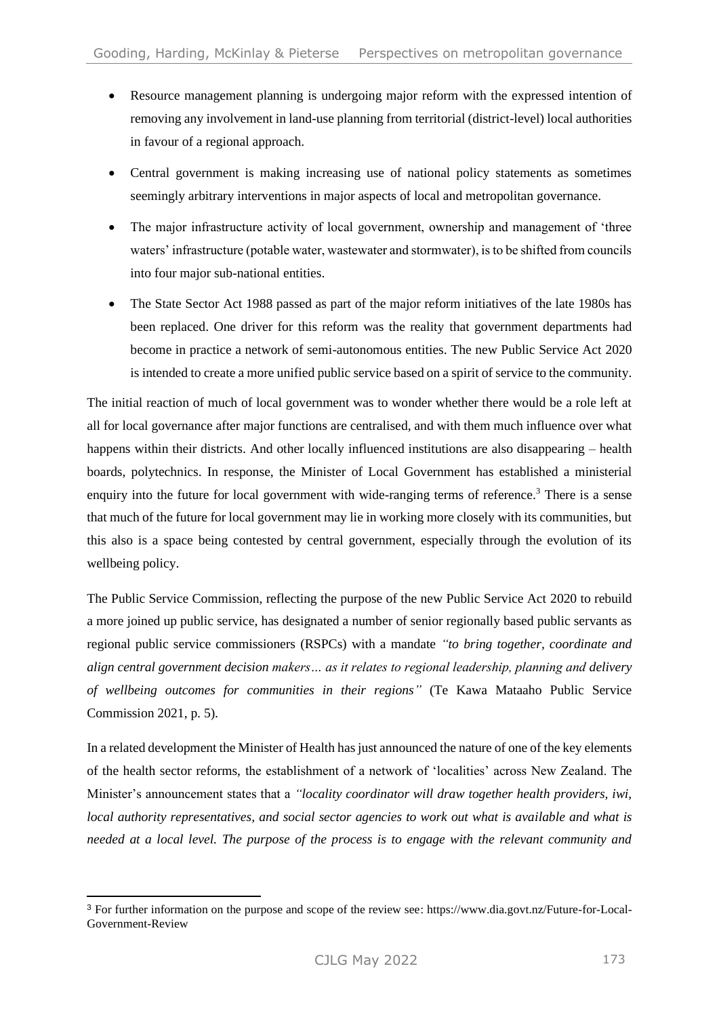- Resource management planning is undergoing major reform with the expressed intention of removing any involvement in land-use planning from territorial (district-level) local authorities in favour of a regional approach.
- Central government is making increasing use of national policy statements as sometimes seemingly arbitrary interventions in major aspects of local and metropolitan governance.
- The major infrastructure activity of local government, ownership and management of 'three waters' infrastructure (potable water, wastewater and stormwater), is to be shifted from councils into four major sub-national entities.
- The State Sector Act 1988 passed as part of the major reform initiatives of the late 1980s has been replaced. One driver for this reform was the reality that government departments had become in practice a network of semi-autonomous entities. The new Public Service Act 2020 is intended to create a more unified public service based on a spirit of service to the community.

The initial reaction of much of local government was to wonder whether there would be a role left at all for local governance after major functions are centralised, and with them much influence over what happens within their districts. And other locally influenced institutions are also disappearing – health boards, polytechnics. In response, the Minister of Local Government has established a ministerial enquiry into the future for local government with wide-ranging terms of reference.<sup>3</sup> There is a sense that much of the future for local government may lie in working more closely with its communities, but this also is a space being contested by central government, especially through the evolution of its wellbeing policy.

The Public Service Commission, reflecting the purpose of the new Public Service Act 2020 to rebuild a more joined up public service, has designated a number of senior regionally based public servants as regional public service commissioners (RSPCs) with a mandate *"to bring together, coordinate and align central government decision makers… as it relates to regional leadership, planning and delivery of wellbeing outcomes for communities in their regions"* (Te Kawa Mataaho Public Service Commission 2021, p. 5)*.*

In a related development the Minister of Health has just announced the nature of one of the key elements of the health sector reforms, the establishment of a network of 'localities' across New Zealand. The Minister's announcement states that a *"locality coordinator will draw together health providers, iwi, local authority representatives, and social sector agencies to work out what is available and what is needed at a local level. The purpose of the process is to engage with the relevant community and* 

<sup>3</sup> For further information on the purpose and scope of the review see: https://www.dia.govt.nz/Future-for-Local-Government-Review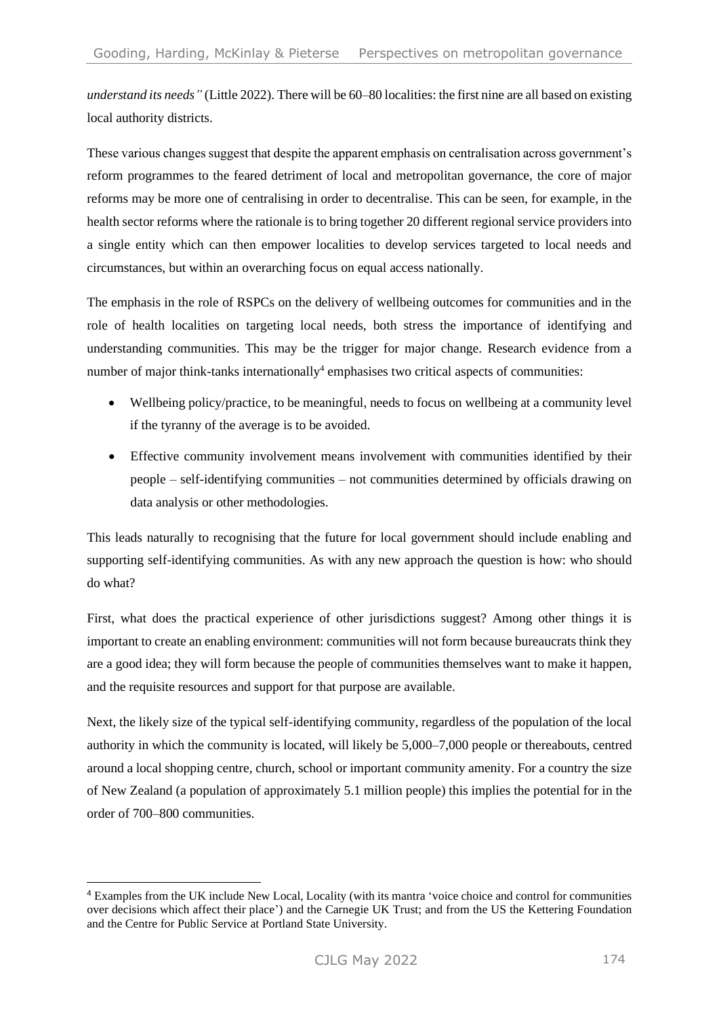*understand its needs"* (Little 2022). There will be 60–80 localities: the first nine are all based on existing local authority districts.

These various changes suggest that despite the apparent emphasis on centralisation across government's reform programmes to the feared detriment of local and metropolitan governance, the core of major reforms may be more one of centralising in order to decentralise. This can be seen, for example, in the health sector reforms where the rationale is to bring together 20 different regional service providers into a single entity which can then empower localities to develop services targeted to local needs and circumstances, but within an overarching focus on equal access nationally.

The emphasis in the role of RSPCs on the delivery of wellbeing outcomes for communities and in the role of health localities on targeting local needs, both stress the importance of identifying and understanding communities. This may be the trigger for major change. Research evidence from a number of major think-tanks internationally<sup>4</sup> emphasises two critical aspects of communities:

- Wellbeing policy/practice, to be meaningful, needs to focus on wellbeing at a community level if the tyranny of the average is to be avoided.
- Effective community involvement means involvement with communities identified by their people – self-identifying communities – not communities determined by officials drawing on data analysis or other methodologies.

This leads naturally to recognising that the future for local government should include enabling and supporting self-identifying communities. As with any new approach the question is how: who should do what?

First, what does the practical experience of other jurisdictions suggest? Among other things it is important to create an enabling environment: communities will not form because bureaucrats think they are a good idea; they will form because the people of communities themselves want to make it happen, and the requisite resources and support for that purpose are available.

Next, the likely size of the typical self-identifying community, regardless of the population of the local authority in which the community is located, will likely be 5,000–7,000 people or thereabouts, centred around a local shopping centre, church, school or important community amenity. For a country the size of New Zealand (a population of approximately 5.1 million people) this implies the potential for in the order of 700–800 communities.

<sup>4</sup> Examples from the UK include New Local, Locality (with its mantra 'voice choice and control for communities over decisions which affect their place') and the Carnegie UK Trust; and from the US the Kettering Foundation and the Centre for Public Service at Portland State University.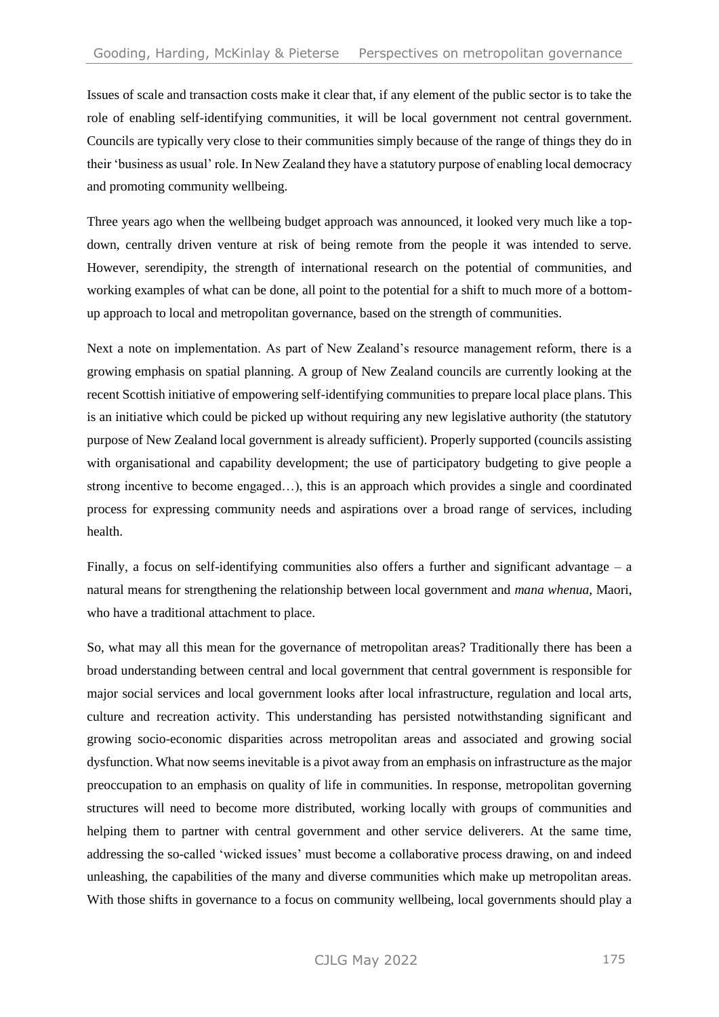Issues of scale and transaction costs make it clear that, if any element of the public sector is to take the role of enabling self-identifying communities, it will be local government not central government. Councils are typically very close to their communities simply because of the range of things they do in their 'business as usual' role. In New Zealand they have a statutory purpose of enabling local democracy and promoting community wellbeing.

Three years ago when the wellbeing budget approach was announced, it looked very much like a topdown, centrally driven venture at risk of being remote from the people it was intended to serve. However, serendipity, the strength of international research on the potential of communities, and working examples of what can be done, all point to the potential for a shift to much more of a bottomup approach to local and metropolitan governance, based on the strength of communities.

Next a note on implementation. As part of New Zealand's resource management reform, there is a growing emphasis on spatial planning. A group of New Zealand councils are currently looking at the recent Scottish initiative of empowering self-identifying communities to prepare local place plans. This is an initiative which could be picked up without requiring any new legislative authority (the statutory purpose of New Zealand local government is already sufficient). Properly supported (councils assisting with organisational and capability development; the use of participatory budgeting to give people a strong incentive to become engaged…), this is an approach which provides a single and coordinated process for expressing community needs and aspirations over a broad range of services, including health.

Finally, a focus on self-identifying communities also offers a further and significant advantage – a natural means for strengthening the relationship between local government and *mana whenua*, Maori, who have a traditional attachment to place.

So, what may all this mean for the governance of metropolitan areas? Traditionally there has been a broad understanding between central and local government that central government is responsible for major social services and local government looks after local infrastructure, regulation and local arts, culture and recreation activity. This understanding has persisted notwithstanding significant and growing socio-economic disparities across metropolitan areas and associated and growing social dysfunction. What now seems inevitable is a pivot away from an emphasis on infrastructure as the major preoccupation to an emphasis on quality of life in communities. In response, metropolitan governing structures will need to become more distributed, working locally with groups of communities and helping them to partner with central government and other service deliverers. At the same time, addressing the so-called 'wicked issues' must become a collaborative process drawing, on and indeed unleashing, the capabilities of the many and diverse communities which make up metropolitan areas. With those shifts in governance to a focus on community wellbeing, local governments should play a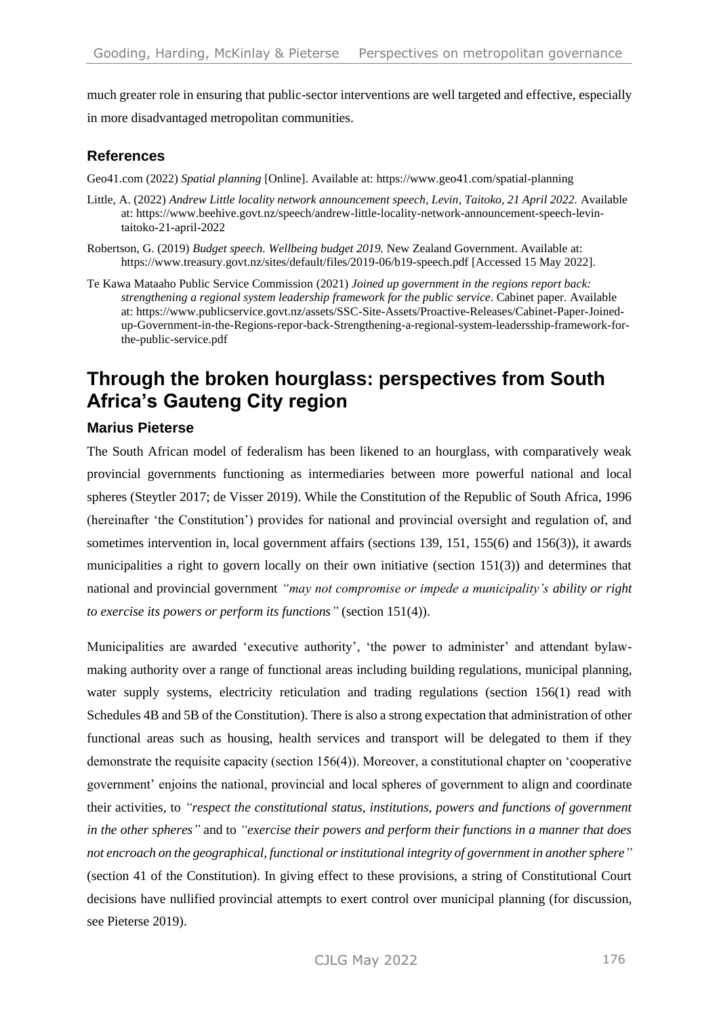much greater role in ensuring that public-sector interventions are well targeted and effective, especially in more disadvantaged metropolitan communities.

### **References**

Geo41.com (2022) *Spatial planning* [Online]. Available at[: https://www.geo41.com/spatial-planning](https://www.geo41.com/spatial-planning)

- Little, A. (2022) *Andrew Little locality network announcement speech, Levin, Taitoko, 21 April 2022.* Available at: https://www.beehive.govt.nz/speech/andrew-little-locality-network-announcement-speech-levintaitoko-21-april-2022
- Robertson, G. (2019) *Budget speech. Wellbeing budget 2019.* New Zealand Government. Available at: <https://www.treasury.govt.nz/sites/default/files/2019-06/b19-speech.pdf> [Accessed 15 May 2022].
- Te Kawa Mataaho Public Service Commission (2021) *Joined up government in the regions report back: strengthening a regional system leadership framework for the public service*. Cabinet paper. Available at: [https://www.publicservice.govt.nz/assets/SSC-Site-Assets/Proactive-Releases/Cabinet-Paper-Joined](https://www.publicservice.govt.nz/assets/SSC-Site-Assets/Proactive-Releases/Cabinet-Paper-Joined-up-Government-in-the-Regions-repor-back-Strengthening-a-regional-system-leadersship-framework-for-the-public-service.pdf)[up-Government-in-the-Regions-repor-back-Strengthening-a-regional-system-leadersship-framework-for](https://www.publicservice.govt.nz/assets/SSC-Site-Assets/Proactive-Releases/Cabinet-Paper-Joined-up-Government-in-the-Regions-repor-back-Strengthening-a-regional-system-leadersship-framework-for-the-public-service.pdf)[the-public-service.pdf](https://www.publicservice.govt.nz/assets/SSC-Site-Assets/Proactive-Releases/Cabinet-Paper-Joined-up-Government-in-the-Regions-repor-back-Strengthening-a-regional-system-leadersship-framework-for-the-public-service.pdf)

# **Through the broken hourglass: perspectives from South Africa's Gauteng City region**

### **Marius Pieterse**

The South African model of federalism has been likened to an hourglass, with comparatively weak provincial governments functioning as intermediaries between more powerful national and local spheres (Steytler 2017; de Visser 2019). While the Constitution of the Republic of South Africa, 1996 (hereinafter 'the Constitution') provides for national and provincial oversight and regulation of, and sometimes intervention in, local government affairs (sections 139, 151, 155(6) and 156(3)), it awards municipalities a right to govern locally on their own initiative (section 151(3)) and determines that national and provincial government *"may not compromise or impede a municipality's ability or right to exercise its powers or perform its functions"* (section 151(4)).

Municipalities are awarded 'executive authority', 'the power to administer' and attendant bylawmaking authority over a range of functional areas including building regulations, municipal planning, water supply systems, electricity reticulation and trading regulations (section 156(1) read with Schedules 4B and 5B of the Constitution). There is also a strong expectation that administration of other functional areas such as housing, health services and transport will be delegated to them if they demonstrate the requisite capacity (section 156(4)). Moreover, a constitutional chapter on 'cooperative government' enjoins the national, provincial and local spheres of government to align and coordinate their activities, to *"respect the constitutional status, institutions, powers and functions of government in the other spheres"* and to *"exercise their powers and perform their functions in a manner that does not encroach on the geographical, functional or institutional integrity of government in another sphere"* (section 41 of the Constitution). In giving effect to these provisions, a string of Constitutional Court decisions have nullified provincial attempts to exert control over municipal planning (for discussion, see Pieterse 2019).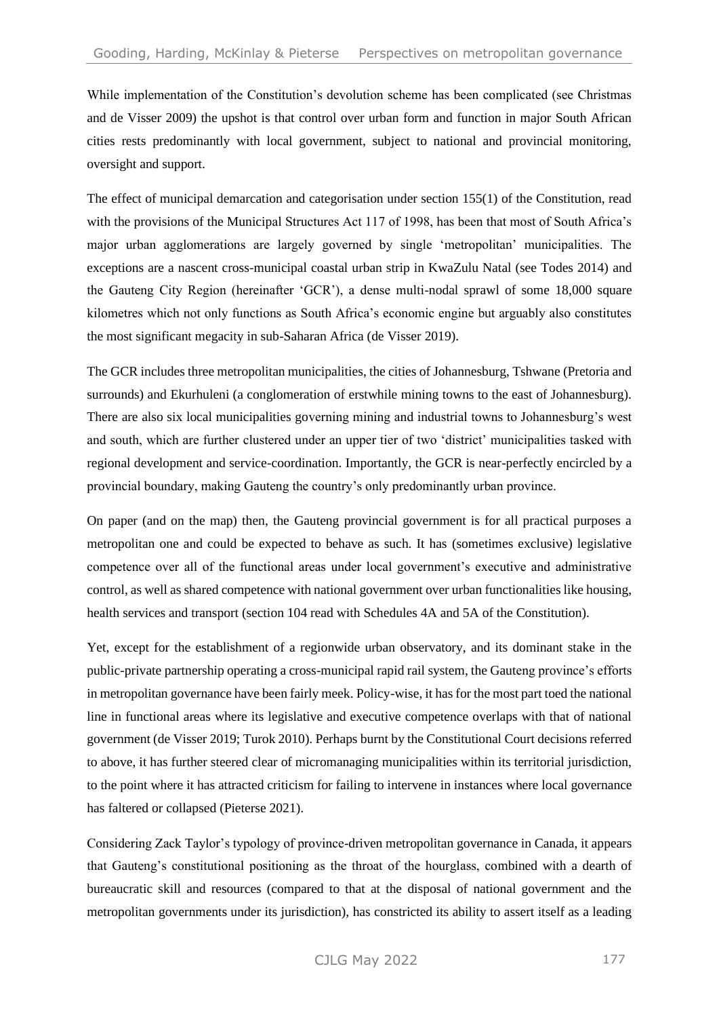While implementation of the Constitution's devolution scheme has been complicated (see Christmas and de Visser 2009) the upshot is that control over urban form and function in major South African cities rests predominantly with local government, subject to national and provincial monitoring, oversight and support.

The effect of municipal demarcation and categorisation under section 155(1) of the Constitution, read with the provisions of the Municipal Structures Act 117 of 1998, has been that most of South Africa's major urban agglomerations are largely governed by single 'metropolitan' municipalities. The exceptions are a nascent cross-municipal coastal urban strip in KwaZulu Natal (see Todes 2014) and the Gauteng City Region (hereinafter 'GCR'), a dense multi-nodal sprawl of some 18,000 square kilometres which not only functions as South Africa's economic engine but arguably also constitutes the most significant megacity in sub-Saharan Africa (de Visser 2019).

The GCR includes three metropolitan municipalities, the cities of Johannesburg, Tshwane (Pretoria and surrounds) and Ekurhuleni (a conglomeration of erstwhile mining towns to the east of Johannesburg). There are also six local municipalities governing mining and industrial towns to Johannesburg's west and south, which are further clustered under an upper tier of two 'district' municipalities tasked with regional development and service-coordination. Importantly, the GCR is near-perfectly encircled by a provincial boundary, making Gauteng the country's only predominantly urban province.

On paper (and on the map) then, the Gauteng provincial government is for all practical purposes a metropolitan one and could be expected to behave as such. It has (sometimes exclusive) legislative competence over all of the functional areas under local government's executive and administrative control, as well as shared competence with national government over urban functionalities like housing, health services and transport (section 104 read with Schedules 4A and 5A of the Constitution).

Yet, except for the establishment of a regionwide urban observatory, and its dominant stake in the public-private partnership operating a cross-municipal rapid rail system, the Gauteng province's efforts in metropolitan governance have been fairly meek. Policy-wise, it has for the most part toed the national line in functional areas where its legislative and executive competence overlaps with that of national government (de Visser 2019; Turok 2010). Perhaps burnt by the Constitutional Court decisions referred to above, it has further steered clear of micromanaging municipalities within its territorial jurisdiction, to the point where it has attracted criticism for failing to intervene in instances where local governance has faltered or collapsed (Pieterse 2021).

Considering Zack Taylor's typology of province-driven metropolitan governance in Canada, it appears that Gauteng's constitutional positioning as the throat of the hourglass, combined with a dearth of bureaucratic skill and resources (compared to that at the disposal of national government and the metropolitan governments under its jurisdiction), has constricted its ability to assert itself as a leading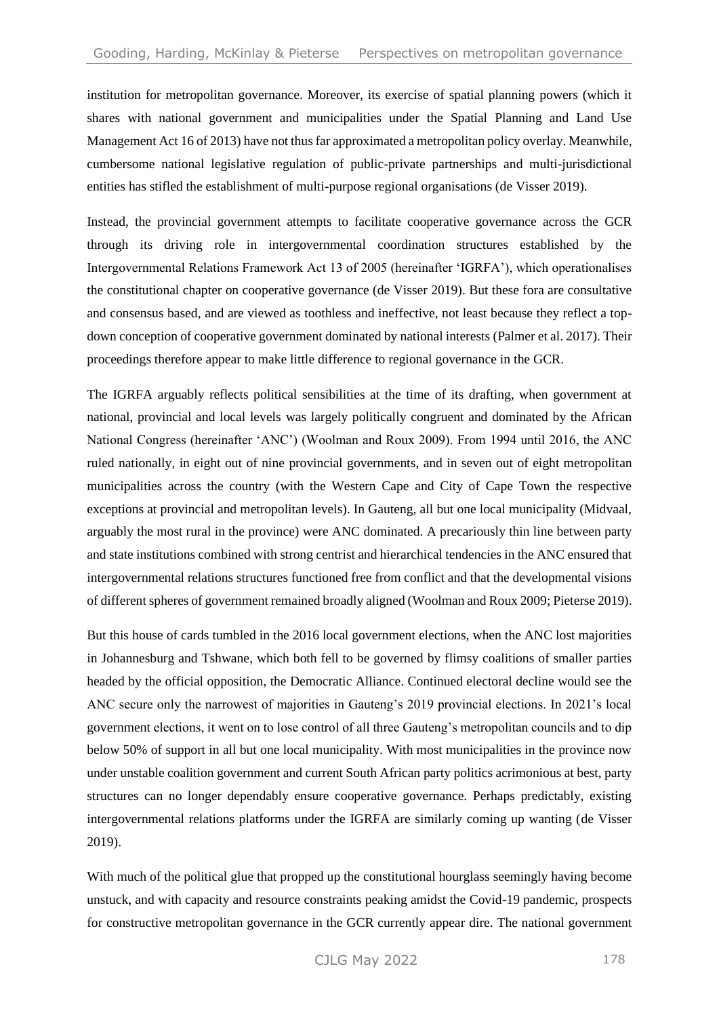institution for metropolitan governance. Moreover, its exercise of spatial planning powers (which it shares with national government and municipalities under the Spatial Planning and Land Use Management Act 16 of 2013) have not thus far approximated a metropolitan policy overlay. Meanwhile, cumbersome national legislative regulation of public-private partnerships and multi-jurisdictional entities has stifled the establishment of multi-purpose regional organisations (de Visser 2019).

Instead, the provincial government attempts to facilitate cooperative governance across the GCR through its driving role in intergovernmental coordination structures established by the Intergovernmental Relations Framework Act 13 of 2005 (hereinafter 'IGRFA'), which operationalises the constitutional chapter on cooperative governance (de Visser 2019). But these fora are consultative and consensus based, and are viewed as toothless and ineffective, not least because they reflect a topdown conception of cooperative government dominated by national interests (Palmer et al. 2017). Their proceedings therefore appear to make little difference to regional governance in the GCR.

The IGRFA arguably reflects political sensibilities at the time of its drafting, when government at national, provincial and local levels was largely politically congruent and dominated by the African National Congress (hereinafter 'ANC') (Woolman and Roux 2009). From 1994 until 2016, the ANC ruled nationally, in eight out of nine provincial governments, and in seven out of eight metropolitan municipalities across the country (with the Western Cape and City of Cape Town the respective exceptions at provincial and metropolitan levels). In Gauteng, all but one local municipality (Midvaal, arguably the most rural in the province) were ANC dominated. A precariously thin line between party and state institutions combined with strong centrist and hierarchical tendencies in the ANC ensured that intergovernmental relations structures functioned free from conflict and that the developmental visions of different spheres of government remained broadly aligned (Woolman and Roux 2009; Pieterse 2019).

But this house of cards tumbled in the 2016 local government elections, when the ANC lost majorities in Johannesburg and Tshwane, which both fell to be governed by flimsy coalitions of smaller parties headed by the official opposition, the Democratic Alliance. Continued electoral decline would see the ANC secure only the narrowest of majorities in Gauteng's 2019 provincial elections. In 2021's local government elections, it went on to lose control of all three Gauteng's metropolitan councils and to dip below 50% of support in all but one local municipality. With most municipalities in the province now under unstable coalition government and current South African party politics acrimonious at best, party structures can no longer dependably ensure cooperative governance. Perhaps predictably, existing intergovernmental relations platforms under the IGRFA are similarly coming up wanting (de Visser 2019).

With much of the political glue that propped up the constitutional hourglass seemingly having become unstuck, and with capacity and resource constraints peaking amidst the Covid-19 pandemic, prospects for constructive metropolitan governance in the GCR currently appear dire. The national government